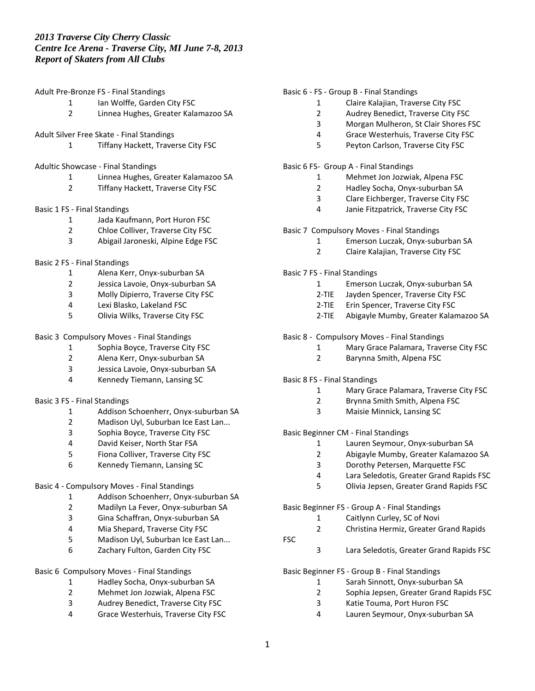Adult Pre-Bronze FS - Final Standings

- 1 Ian Wolffe, Garden City FSC
- Linnea Hughes, Greater Kalamazoo SA
- Adult Silver Free Skate Final Standings
	- Tiffany Hackett, Traverse City FSC
- Adultic Showcase Final Standings
	- Linnea Hughes, Greater Kalamazoo SA
	- Tiffany Hackett, Traverse City FSC

### Basic 1 FS - Final Standings

- Jada Kaufmann, Port Huron FSC
- Chloe Colliver, Traverse City FSC
- Abigail Jaroneski, Alpine Edge FSC
- Basic 2 FS Final Standings
	- Alena Kerr, Onyx-suburban SA
	- 2 Jessica Lavoie, Onyx-suburban SA<br>3 Molly Dipierro. Traverse City FSC
	- Molly Dipierro, Traverse City FSC
	- Lexi Blasko, Lakeland FSC
	- Olivia Wilks, Traverse City FSC

## Basic 3 Compulsory Moves - Final Standings

- Sophia Boyce, Traverse City FSC
- Alena Kerr, Onyx-suburban SA
- Jessica Lavoie, Onyx-suburban SA
- Kennedy Tiemann, Lansing SC

#### Basic 3 FS - Final Standings

- Addison Schoenherr, Onyx-suburban SA
- Madison Uyl, Suburban Ice East Lan...
- Sophia Boyce, Traverse City FSC
- David Keiser, North Star FSA
- Fiona Colliver, Traverse City FSC
- Kennedy Tiemann, Lansing SC

## Basic 4 - Compulsory Moves - Final Standings

- Addison Schoenherr, Onyx-suburban SA
- 2 Madilyn La Fever, Onyx-suburban SA<br>3 Gina Schaffran. Onvx-suburban SA
- Gina Schaffran, Onyx-suburban SA
- Mia Shepard, Traverse City FSC
- Madison Uyl, Suburban Ice East Lan...
- Zachary Fulton, Garden City FSC

## Basic 6 Compulsory Moves - Final Standings

- Hadley Socha, Onyx-suburban SA
- Mehmet Jon Jozwiak, Alpena FSC
- Audrey Benedict, Traverse City FSC
- Grace Westerhuis, Traverse City FSC

### Basic 6 - FS - Group B - Final Standings

- Claire Kalajian, Traverse City FSC
- Audrey Benedict, Traverse City FSC
- Morgan Mulheron, St Clair Shores FSC
- Grace Westerhuis, Traverse City FSC
- Peyton Carlson, Traverse City FSC

### Basic 6 FS- Group A - Final Standings

- Mehmet Jon Jozwiak, Alpena FSC
- Hadley Socha, Onyx-suburban SA
- Clare Eichberger, Traverse City FSC
- Janie Fitzpatrick, Traverse City FSC

## Basic 7 Compulsory Moves - Final Standings

- Emerson Luczak, Onyx-suburban SA
- Claire Kalajian, Traverse City FSC
- Basic 7 FS Final Standings
	- Emerson Luczak, Onyx-suburban SA
	- 2-TIE Jayden Spencer, Traverse City FSC
	- 2-TIE Erin Spencer, Traverse City FSC
	- 2-TIE Abigayle Mumby, Greater Kalamazoo SA
- Basic 8 Compulsory Moves Final Standings
	- Mary Grace Palamara, Traverse City FSC
	- Barynna Smith, Alpena FSC

### Basic 8 FS - Final Standings

- Mary Grace Palamara, Traverse City FSC
- Brynna Smith Smith, Alpena FSC
- Maisie Minnick, Lansing SC

## Basic Beginner CM - Final Standings

- Lauren Seymour, Onyx-suburban SA
- Abigayle Mumby, Greater Kalamazoo SA
- Dorothy Petersen, Marquette FSC
- Lara Seledotis, Greater Grand Rapids FSC
- Olivia Jepsen, Greater Grand Rapids FSC

#### Basic Beginner FS - Group A - Final Standings

- Caitlynn Curley, SC of Novi
- Christina Hermiz, Greater Grand Rapids
- 

FSC

Lara Seledotis, Greater Grand Rapids FSC

# Basic Beginner FS - Group B - Final Standings

- Sarah Sinnott, Onyx-suburban SA
- Sophia Jepsen, Greater Grand Rapids FSC
- Katie Touma, Port Huron FSC
- Lauren Seymour, Onyx-suburban SA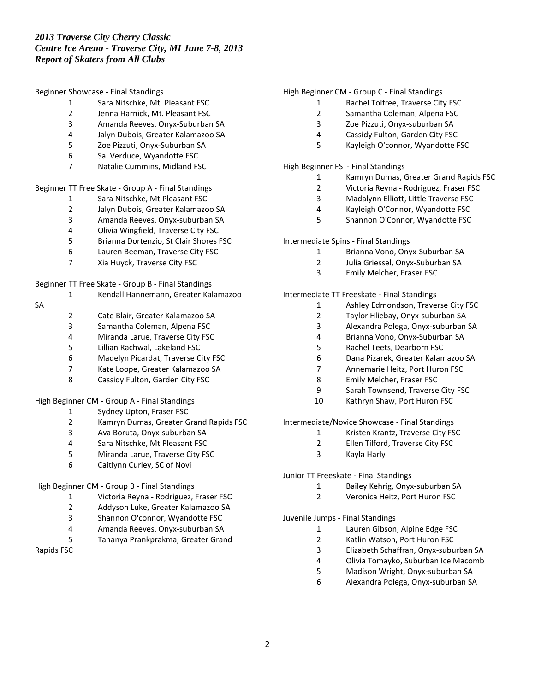#### Beginner Showcase - Final Standings

- Sara Nitschke, Mt. Pleasant FSC
- Jenna Harnick, Mt. Pleasant FSC
- Amanda Reeves, Onyx-Suburban SA
- Jalyn Dubois, Greater Kalamazoo SA
- Zoe Pizzuti, Onyx-Suburban SA
- Sal Verduce, Wyandotte FSC
- Natalie Cummins, Midland FSC

### Beginner TT Free Skate - Group A - Final Standings

- Sara Nitschke, Mt Pleasant FSC
- Jalyn Dubois, Greater Kalamazoo SA
- Amanda Reeves, Onyx-suburban SA
- Olivia Wingfield, Traverse City FSC
- Brianna Dortenzio, St Clair Shores FSC
- Lauren Beeman, Traverse City FSC
- Xia Huyck, Traverse City FSC

### Beginner TT Free Skate - Group B - Final Standings

- Kendall Hannemann, Greater Kalamazoo
- SA
- 2 Cate Blair, Greater Kalamazoo SA<br>3 Samantha Coleman, Alpena FSC
- Samantha Coleman, Alpena FSC
- Miranda Larue, Traverse City FSC
- Lillian Rachwal, Lakeland FSC
- Madelyn Picardat, Traverse City FSC
- Kate Loope, Greater Kalamazoo SA
- Cassidy Fulton, Garden City FSC

## High Beginner CM - Group A - Final Standings

- Sydney Upton, Fraser FSC
- 2 Kamryn Dumas, Greater Grand Rapids FSC<br>3 Ava Boruta. Onvx-suburban SA
- Ava Boruta, Onyx-suburban SA
- Sara Nitschke, Mt Pleasant FSC
- Miranda Larue, Traverse City FSC
- Caitlynn Curley, SC of Novi

## High Beginner CM - Group B - Final Standings

- Victoria Reyna Rodriguez, Fraser FSC
- 2 Addyson Luke, Greater Kalamazoo SA<br>3 Shannon O'connor. Wyandotte FSC
- Shannon O'connor, Wyandotte FSC
- Amanda Reeves, Onyx-suburban SA
- Tananya Prankprakma, Greater Grand

Rapids FSC

### High Beginner CM - Group C - Final Standings

- Rachel Tolfree, Traverse City FSC
- Samantha Coleman, Alpena FSC
- Zoe Pizzuti, Onyx-suburban SA
- Cassidy Fulton, Garden City FSC
- Kayleigh O'connor, Wyandotte FSC

### High Beginner FS - Final Standings

- Kamryn Dumas, Greater Grand Rapids FSC
- Victoria Reyna Rodriguez, Fraser FSC
- Madalynn Elliott, Little Traverse FSC
- Kayleigh O'Connor, Wyandotte FSC
- Shannon O'Connor, Wyandotte FSC

#### Intermediate Spins - Final Standings

- Brianna Vono, Onyx-Suburban SA
- Julia Griessel, Onyx-Suburban SA
- Emily Melcher, Fraser FSC

### Intermediate TT Freeskate - Final Standings

- Ashley Edmondson, Traverse City FSC
- Taylor Hliebay, Onyx-suburban SA
- Alexandra Polega, Onyx-suburban SA
- Brianna Vono, Onyx-Suburban SA
- Rachel Teets, Dearborn FSC
- Dana Pizarek, Greater Kalamazoo SA
- Annemarie Heitz, Port Huron FSC
- Emily Melcher, Fraser FSC
- Sarah Townsend, Traverse City FSC
- Kathryn Shaw, Port Huron FSC

## Intermediate/Novice Showcase - Final Standings

- Kristen Krantz, Traverse City FSC
- Ellen Tilford, Traverse City FSC
- Kayla Harly

### Junior TT Freeskate - Final Standings

- Bailey Kehrig, Onyx-suburban SA
- Veronica Heitz, Port Huron FSC

### Juvenile Jumps - Final Standings

- Lauren Gibson, Alpine Edge FSC
- Katlin Watson, Port Huron FSC
- Elizabeth Schaffran, Onyx-suburban SA
- Olivia Tomayko, Suburban Ice Macomb
- Madison Wright, Onyx-suburban SA
- Alexandra Polega, Onyx-suburban SA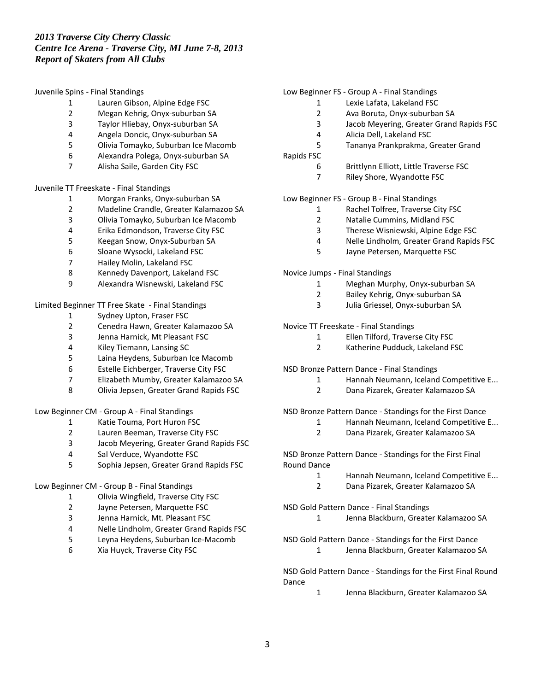Juvenile Spins - Final Standings

- Lauren Gibson, Alpine Edge FSC
- Megan Kehrig, Onyx-suburban SA
- Taylor Hliebay, Onyx-suburban SA
- Angela Doncic, Onyx-suburban SA
- Olivia Tomayko, Suburban Ice Macomb
- Alexandra Polega, Onyx-suburban SA
- Alisha Saile, Garden City FSC

Juvenile TT Freeskate - Final Standings

- Morgan Franks, Onyx-suburban SA
- Madeline Crandle, Greater Kalamazoo SA
- Olivia Tomayko, Suburban Ice Macomb
- Erika Edmondson, Traverse City FSC
- Keegan Snow, Onyx-Suburban SA
- Sloane Wysocki, Lakeland FSC
- Hailey Molin, Lakeland FSC
- Kennedy Davenport, Lakeland FSC
- Alexandra Wisnewski, Lakeland FSC

Limited Beginner TT Free Skate - Final Standings

- 1 Sydney Upton, Fraser FSC<br>2 Cenedra Hawn. Greater Ka
- Cenedra Hawn, Greater Kalamazoo SA
- Jenna Harnick, Mt Pleasant FSC
- Kiley Tiemann, Lansing SC
- Laina Heydens, Suburban Ice Macomb
- Estelle Eichberger, Traverse City FSC
- Elizabeth Mumby, Greater Kalamazoo SA
- Olivia Jepsen, Greater Grand Rapids FSC

Low Beginner CM - Group A - Final Standings

- Katie Touma, Port Huron FSC
- Lauren Beeman, Traverse City FSC
- Jacob Meyering, Greater Grand Rapids FSC
- Sal Verduce, Wyandotte FSC
- Sophia Jepsen, Greater Grand Rapids FSC

Low Beginner CM - Group B - Final Standings

- Olivia Wingfield, Traverse City FSC
- Jayne Petersen, Marquette FSC
- Jenna Harnick, Mt. Pleasant FSC
- Nelle Lindholm, Greater Grand Rapids FSC
- Leyna Heydens, Suburban Ice-Macomb
- Xia Huyck, Traverse City FSC

## Low Beginner FS - Group A - Final Standings

- Lexie Lafata, Lakeland FSC
- Ava Boruta, Onyx-suburban SA
- Jacob Meyering, Greater Grand Rapids FSC
- Alicia Dell, Lakeland FSC
- Tananya Prankprakma, Greater Grand
- Rapids FSC
	- Brittlynn Elliott, Little Traverse FSC
	- Riley Shore, Wyandotte FSC
- Low Beginner FS Group B Final Standings
	- Rachel Tolfree, Traverse City FSC
	- Natalie Cummins, Midland FSC
	- Therese Wisniewski, Alpine Edge FSC
	- Nelle Lindholm, Greater Grand Rapids FSC
	- Jayne Petersen, Marquette FSC
- Novice Jumps Final Standings
	- Meghan Murphy, Onyx-suburban SA
	- Bailey Kehrig, Onyx-suburban SA
	- Julia Griessel, Onyx-suburban SA

### Novice TT Freeskate - Final Standings

- Ellen Tilford, Traverse City FSC
- Katherine Pudduck, Lakeland FSC
- NSD Bronze Pattern Dance Final Standings
	- Hannah Neumann, Iceland Competitive E...
	- Dana Pizarek, Greater Kalamazoo SA

NSD Bronze Pattern Dance - Standings for the First Dance

- Hannah Neumann, Iceland Competitive E...
- Dana Pizarek, Greater Kalamazoo SA

NSD Bronze Pattern Dance - Standings for the First Final Round Dance

- Hannah Neumann, Iceland Competitive E...
- Dana Pizarek, Greater Kalamazoo SA

NSD Gold Pattern Dance - Final Standings

Jenna Blackburn, Greater Kalamazoo SA

NSD Gold Pattern Dance - Standings for the First Dance

Jenna Blackburn, Greater Kalamazoo SA

NSD Gold Pattern Dance - Standings for the First Final Round Dance

Jenna Blackburn, Greater Kalamazoo SA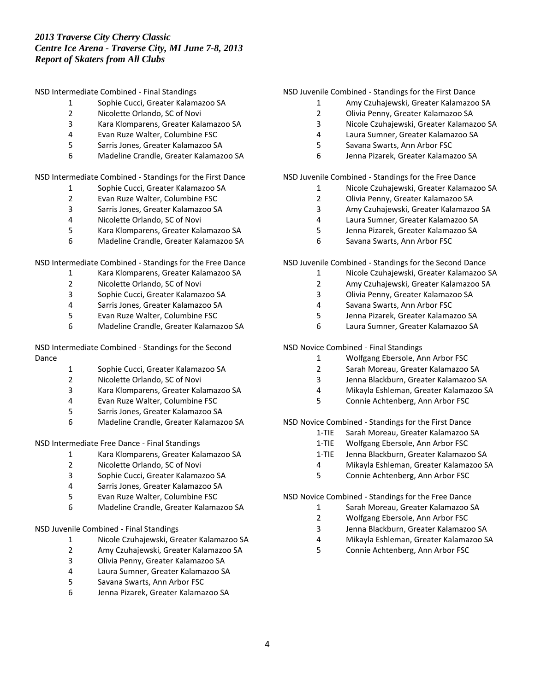NSD Intermediate Combined - Final Standings

- Sophie Cucci, Greater Kalamazoo SA
- Nicolette Orlando, SC of Novi
- Kara Klomparens, Greater Kalamazoo SA
- Evan Ruze Walter, Columbine FSC
- Sarris Jones, Greater Kalamazoo SA
- Madeline Crandle, Greater Kalamazoo SA

NSD Intermediate Combined - Standings for the First Dance

- Sophie Cucci, Greater Kalamazoo SA
- Evan Ruze Walter, Columbine FSC
- Sarris Jones, Greater Kalamazoo SA
- Nicolette Orlando, SC of Novi
- Kara Klomparens, Greater Kalamazoo SA
- Madeline Crandle, Greater Kalamazoo SA

NSD Intermediate Combined - Standings for the Free Dance

- Kara Klomparens, Greater Kalamazoo SA
- 2 Nicolette Orlando, SC of Novi<br>3 Sophie Cucci. Greater Kalama:
- Sophie Cucci, Greater Kalamazoo SA
- Sarris Jones, Greater Kalamazoo SA
- Evan Ruze Walter, Columbine FSC
- Madeline Crandle, Greater Kalamazoo SA

NSD Intermediate Combined - Standings for the Second Dance

- Sophie Cucci, Greater Kalamazoo SA
- Nicolette Orlando, SC of Novi
- Kara Klomparens, Greater Kalamazoo SA
- Evan Ruze Walter, Columbine FSC
- Sarris Jones, Greater Kalamazoo SA
- Madeline Crandle, Greater Kalamazoo SA

NSD Intermediate Free Dance - Final Standings

- Kara Klomparens, Greater Kalamazoo SA
- Nicolette Orlando, SC of Novi
- Sophie Cucci, Greater Kalamazoo SA
- Sarris Jones, Greater Kalamazoo SA
- Evan Ruze Walter, Columbine FSC
- Madeline Crandle, Greater Kalamazoo SA

## NSD Juvenile Combined - Final Standings

- Nicole Czuhajewski, Greater Kalamazoo SA
- Amy Czuhajewski, Greater Kalamazoo SA
- Olivia Penny, Greater Kalamazoo SA
- Laura Sumner, Greater Kalamazoo SA
- Savana Swarts, Ann Arbor FSC
- Jenna Pizarek, Greater Kalamazoo SA

## NSD Juvenile Combined - Standings for the First Dance

- Amy Czuhajewski, Greater Kalamazoo SA
- Olivia Penny, Greater Kalamazoo SA
- Nicole Czuhajewski, Greater Kalamazoo SA
- Laura Sumner, Greater Kalamazoo SA
- Savana Swarts, Ann Arbor FSC
- Jenna Pizarek, Greater Kalamazoo SA

NSD Juvenile Combined - Standings for the Free Dance

- Nicole Czuhajewski, Greater Kalamazoo SA
- Olivia Penny, Greater Kalamazoo SA
- Amy Czuhajewski, Greater Kalamazoo SA
- Laura Sumner, Greater Kalamazoo SA
- Jenna Pizarek, Greater Kalamazoo SA
- Savana Swarts, Ann Arbor FSC

NSD Juvenile Combined - Standings for the Second Dance

- Nicole Czuhajewski, Greater Kalamazoo SA
- Amy Czuhajewski, Greater Kalamazoo SA
- Olivia Penny, Greater Kalamazoo SA
- Savana Swarts, Ann Arbor FSC
- Jenna Pizarek, Greater Kalamazoo SA
- Laura Sumner, Greater Kalamazoo SA

NSD Novice Combined - Final Standings

- Wolfgang Ebersole, Ann Arbor FSC
- Sarah Moreau, Greater Kalamazoo SA
- Jenna Blackburn, Greater Kalamazoo SA
- Mikayla Eshleman, Greater Kalamazoo SA
- Connie Achtenberg, Ann Arbor FSC

NSD Novice Combined - Standings for the First Dance

- 1-TIE Sarah Moreau, Greater Kalamazoo SA
- 1-TIE Wolfgang Ebersole, Ann Arbor FSC
- 1-TIE Jenna Blackburn, Greater Kalamazoo SA
- Mikayla Eshleman, Greater Kalamazoo SA
- Connie Achtenberg, Ann Arbor FSC

NSD Novice Combined - Standings for the Free Dance

- Sarah Moreau, Greater Kalamazoo SA
- Wolfgang Ebersole, Ann Arbor FSC
- Jenna Blackburn, Greater Kalamazoo SA
- Mikayla Eshleman, Greater Kalamazoo SA
- Connie Achtenberg, Ann Arbor FSC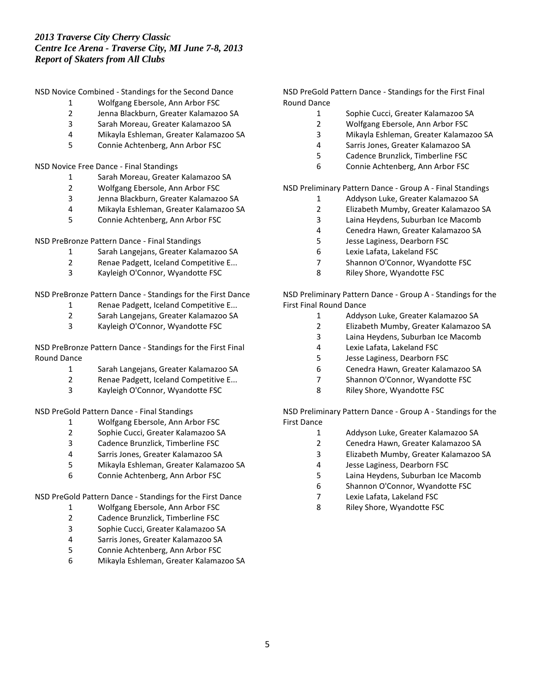NSD Novice Combined - Standings for the Second Dance

- Wolfgang Ebersole, Ann Arbor FSC
- Jenna Blackburn, Greater Kalamazoo SA
- Sarah Moreau, Greater Kalamazoo SA
- Mikayla Eshleman, Greater Kalamazoo SA
- Connie Achtenberg, Ann Arbor FSC

NSD Novice Free Dance - Final Standings

- Sarah Moreau, Greater Kalamazoo SA
- Wolfgang Ebersole, Ann Arbor FSC
- Jenna Blackburn, Greater Kalamazoo SA
- Mikayla Eshleman, Greater Kalamazoo SA
- Connie Achtenberg, Ann Arbor FSC

NSD PreBronze Pattern Dance - Final Standings

- Sarah Langejans, Greater Kalamazoo SA
- Renae Padgett, Iceland Competitive E...
- Kayleigh O'Connor, Wyandotte FSC

NSD PreBronze Pattern Dance - Standings for the First Dance

- Renae Padgett, Iceland Competitive E...
- 2 Sarah Langejans, Greater Kalamazoo SA<br>3 Kavleigh O'Connor. Wyandotte FSC
- Kayleigh O'Connor, Wyandotte FSC

NSD PreBronze Pattern Dance - Standings for the First Final Round Dance

- Sarah Langejans, Greater Kalamazoo SA
- Renae Padgett, Iceland Competitive E...
- Kayleigh O'Connor, Wyandotte FSC

NSD PreGold Pattern Dance - Final Standings

- Wolfgang Ebersole, Ann Arbor FSC
- Sophie Cucci, Greater Kalamazoo SA
- Cadence Brunzlick, Timberline FSC
- Sarris Jones, Greater Kalamazoo SA
- Mikayla Eshleman, Greater Kalamazoo SA
- Connie Achtenberg, Ann Arbor FSC

NSD PreGold Pattern Dance - Standings for the First Dance

- Wolfgang Ebersole, Ann Arbor FSC
- Cadence Brunzlick, Timberline FSC
- Sophie Cucci, Greater Kalamazoo SA
- Sarris Jones, Greater Kalamazoo SA
- Connie Achtenberg, Ann Arbor FSC
- Mikayla Eshleman, Greater Kalamazoo SA

NSD PreGold Pattern Dance - Standings for the First Final Round Dance

- Sophie Cucci, Greater Kalamazoo SA
- Wolfgang Ebersole, Ann Arbor FSC
- Mikayla Eshleman, Greater Kalamazoo SA
- Sarris Jones, Greater Kalamazoo SA
- Cadence Brunzlick, Timberline FSC
- Connie Achtenberg, Ann Arbor FSC

NSD Preliminary Pattern Dance - Group A - Final Standings

- Addyson Luke, Greater Kalamazoo SA
- Elizabeth Mumby, Greater Kalamazoo SA
- Laina Heydens, Suburban Ice Macomb
- Cenedra Hawn, Greater Kalamazoo SA
- Jesse Laginess, Dearborn FSC
- Lexie Lafata, Lakeland FSC
- Shannon O'Connor, Wyandotte FSC
- Riley Shore, Wyandotte FSC

NSD Preliminary Pattern Dance - Group A - Standings for the First Final Round Dance

- Addyson Luke, Greater Kalamazoo SA
	- Elizabeth Mumby, Greater Kalamazoo SA
	- Laina Heydens, Suburban Ice Macomb
	- Lexie Lafata, Lakeland FSC
	- Jesse Laginess, Dearborn FSC
	- Cenedra Hawn, Greater Kalamazoo SA
	- Shannon O'Connor, Wyandotte FSC
	- Riley Shore, Wyandotte FSC

NSD Preliminary Pattern Dance - Group A - Standings for the First Dance

- Addyson Luke, Greater Kalamazoo SA
- Cenedra Hawn, Greater Kalamazoo SA
- Elizabeth Mumby, Greater Kalamazoo SA
- Jesse Laginess, Dearborn FSC
- Laina Heydens, Suburban Ice Macomb
- Shannon O'Connor, Wyandotte FSC
- Lexie Lafata, Lakeland FSC
- Riley Shore, Wyandotte FSC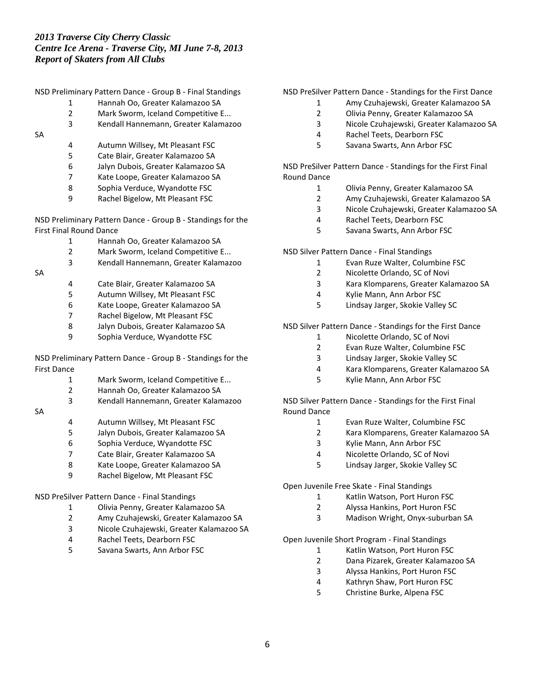- Hannah Oo, Greater Kalamazoo SA
- Mark Sworm, Iceland Competitive E...
- Kendall Hannemann, Greater Kalamazoo
- SA
- Autumn Willsey, Mt Pleasant FSC
- Cate Blair, Greater Kalamazoo SA
- Jalyn Dubois, Greater Kalamazoo SA
- Kate Loope, Greater Kalamazoo SA
- Sophia Verduce, Wyandotte FSC
- Rachel Bigelow, Mt Pleasant FSC

NSD Preliminary Pattern Dance - Group B - Standings for the First Final Round Dance

- Hannah Oo, Greater Kalamazoo SA
- Mark Sworm, Iceland Competitive E...
- Kendall Hannemann, Greater Kalamazoo

SA

- Cate Blair, Greater Kalamazoo SA
	- Autumn Willsey, Mt Pleasant FSC
	- Kate Loope, Greater Kalamazoo SA
	- Rachel Bigelow, Mt Pleasant FSC
	- Jalyn Dubois, Greater Kalamazoo SA
	- Sophia Verduce, Wyandotte FSC

NSD Preliminary Pattern Dance - Group B - Standings for the First Dance

- Mark Sworm, Iceland Competitive E...
- Hannah Oo, Greater Kalamazoo SA
- Kendall Hannemann, Greater Kalamazoo

#### SA

- Autumn Willsey, Mt Pleasant FSC
	- Jalyn Dubois, Greater Kalamazoo SA
	- Sophia Verduce, Wyandotte FSC
	- Cate Blair, Greater Kalamazoo SA
	- Kate Loope, Greater Kalamazoo SA
	- Rachel Bigelow, Mt Pleasant FSC

## NSD PreSilver Pattern Dance - Final Standings

- Olivia Penny, Greater Kalamazoo SA
- Amy Czuhajewski, Greater Kalamazoo SA
- Nicole Czuhajewski, Greater Kalamazoo SA
- Rachel Teets, Dearborn FSC
- Savana Swarts, Ann Arbor FSC

NSD PreSilver Pattern Dance - Standings for the First Dance

- Amy Czuhajewski, Greater Kalamazoo SA
- Olivia Penny, Greater Kalamazoo SA
- Nicole Czuhajewski, Greater Kalamazoo SA
- Rachel Teets, Dearborn FSC
- Savana Swarts, Ann Arbor FSC

NSD PreSilver Pattern Dance - Standings for the First Final Round Dance

- Olivia Penny, Greater Kalamazoo SA
- Amy Czuhajewski, Greater Kalamazoo SA
- Nicole Czuhajewski, Greater Kalamazoo SA
- Rachel Teets, Dearborn FSC
- Savana Swarts, Ann Arbor FSC

### NSD Silver Pattern Dance - Final Standings

- Evan Ruze Walter, Columbine FSC
- Nicolette Orlando, SC of Novi
- Kara Klomparens, Greater Kalamazoo SA
- Kylie Mann, Ann Arbor FSC
- Lindsay Jarger, Skokie Valley SC

## NSD Silver Pattern Dance - Standings for the First Dance

- Nicolette Orlando, SC of Novi
- Evan Ruze Walter, Columbine FSC
- Lindsay Jarger, Skokie Valley SC
- Kara Klomparens, Greater Kalamazoo SA
- Kylie Mann, Ann Arbor FSC

NSD Silver Pattern Dance - Standings for the First Final Round Dance

- Evan Ruze Walter, Columbine FSC
- Kara Klomparens, Greater Kalamazoo SA
- Kylie Mann, Ann Arbor FSC
- Nicolette Orlando, SC of Novi
- Lindsay Jarger, Skokie Valley SC

Open Juvenile Free Skate - Final Standings

- Katlin Watson, Port Huron FSC
- Alyssa Hankins, Port Huron FSC
- Madison Wright, Onyx-suburban SA

Open Juvenile Short Program - Final Standings

- Katlin Watson, Port Huron FSC
- Dana Pizarek, Greater Kalamazoo SA
- Alyssa Hankins, Port Huron FSC
- Kathryn Shaw, Port Huron FSC
- Christine Burke, Alpena FSC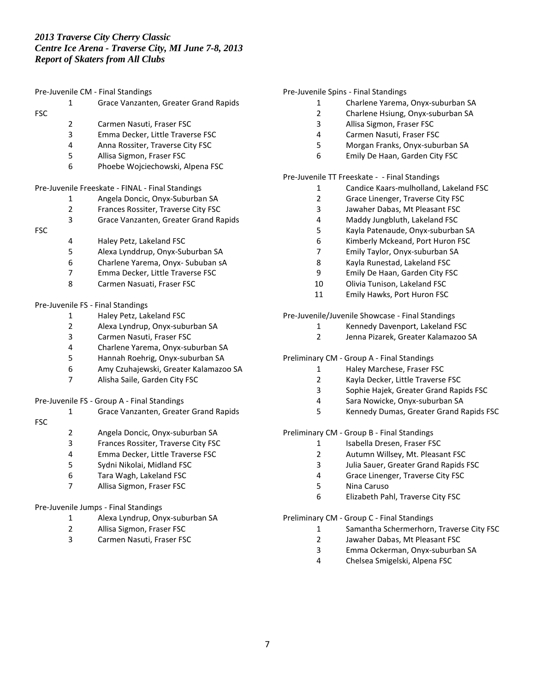Pre-Juvenile CM - Final Standings Grace Vanzanten, Greater Grand Rapids FSC Carmen Nasuti, Fraser FSC Emma Decker, Little Traverse FSC Anna Rossiter, Traverse City FSC Allisa Sigmon, Fraser FSC Phoebe Wojciechowski, Alpena FSC Pre-Juvenile Freeskate - FINAL - Final Standings Angela Doncic, Onyx-Suburban SA Frances Rossiter, Traverse City FSC Grace Vanzanten, Greater Grand Rapids FSC Haley Petz, Lakeland FSC Alexa Lynddrup, Onyx-Suburban SA Charlene Yarema, Onyx- Sububan sA Emma Decker, Little Traverse FSC Carmen Nasuati, Fraser FSC Pre-Juvenile FS - Final Standings 1 Haley Petz, Lakeland FSC<br>2 Alexa Lyndrup, Onyx-subi Alexa Lyndrup, Onyx-suburban SA Carmen Nasuti, Fraser FSC Charlene Yarema, Onyx-suburban SA Hannah Roehrig, Onyx-suburban SA Amy Czuhajewski, Greater Kalamazoo SA Alisha Saile, Garden City FSC Pre-Juvenile FS - Group A - Final Standings Grace Vanzanten, Greater Grand Rapids FSC Angela Doncic, Onyx-suburban SA Frances Rossiter, Traverse City FSC Emma Decker, Little Traverse FSC Sydni Nikolai, Midland FSC Tara Wagh, Lakeland FSC Allisa Sigmon, Fraser FSC

## Pre-Juvenile Jumps - Final Standings

- Alexa Lyndrup, Onyx-suburban SA
- Allisa Sigmon, Fraser FSC
- Carmen Nasuti, Fraser FSC

### Pre-Juvenile Spins - Final Standings

- Charlene Yarema, Onyx-suburban SA
- Charlene Hsiung, Onyx-suburban SA
- Allisa Sigmon, Fraser FSC
- Carmen Nasuti, Fraser FSC
- Morgan Franks, Onyx-suburban SA
- Emily De Haan, Garden City FSC

Pre-Juvenile TT Freeskate - - Final Standings

- Candice Kaars-mulholland, Lakeland FSC
- Grace Linenger, Traverse City FSC
- Jawaher Dabas, Mt Pleasant FSC
- Maddy Jungbluth, Lakeland FSC
- Kayla Patenaude, Onyx-suburban SA
- Kimberly Mckeand, Port Huron FSC
- Emily Taylor, Onyx-suburban SA
- Kayla Runestad, Lakeland FSC
- Emily De Haan, Garden City FSC
- Olivia Tunison, Lakeland FSC Emily Hawks, Port Huron FSC
- 

Pre-Juvenile/Juvenile Showcase - Final Standings

- Kennedy Davenport, Lakeland FSC
	- Jenna Pizarek, Greater Kalamazoo SA
- Preliminary CM Group A Final Standings
	- Haley Marchese, Fraser FSC
	- Kayla Decker, Little Traverse FSC
	- Sophie Hajek, Greater Grand Rapids FSC
	- Sara Nowicke, Onyx-suburban SA
	- Kennedy Dumas, Greater Grand Rapids FSC

Preliminary CM - Group B - Final Standings

- 1 Isabella Dresen, Fraser FSC
- Autumn Willsey, Mt. Pleasant FSC
- Julia Sauer, Greater Grand Rapids FSC
- Grace Linenger, Traverse City FSC
- Nina Caruso
- Elizabeth Pahl, Traverse City FSC

Preliminary CM - Group C - Final Standings

- Samantha Schermerhorn, Traverse City FSC
- Jawaher Dabas, Mt Pleasant FSC
- Emma Ockerman, Onyx-suburban SA
- Chelsea Smigelski, Alpena FSC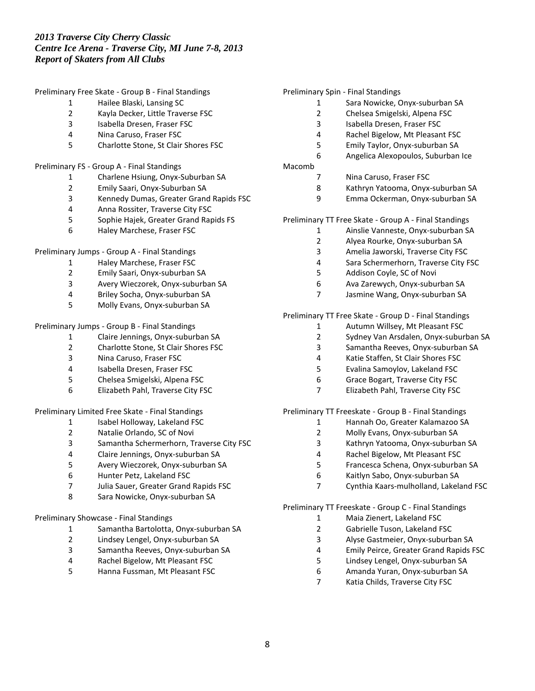Preliminary Free Skate - Group B - Final Standings

- Hailee Blaski, Lansing SC
- Kayla Decker, Little Traverse FSC
- Isabella Dresen, Fraser FSC
- Nina Caruso, Fraser FSC
- Charlotte Stone, St Clair Shores FSC

### Preliminary FS - Group A - Final Standings

- Charlene Hsiung, Onyx-Suburban SA
- Emily Saari, Onyx-Suburban SA
- Kennedy Dumas, Greater Grand Rapids FSC
- Anna Rossiter, Traverse City FSC
- Sophie Hajek, Greater Grand Rapids FS
- Haley Marchese, Fraser FSC

Preliminary Jumps - Group A - Final Standings

- Haley Marchese, Fraser FSC
- Emily Saari, Onyx-suburban SA
- Avery Wieczorek, Onyx-suburban SA
- Briley Socha, Onyx-suburban SA
- Molly Evans, Onyx-suburban SA

## Preliminary Jumps - Group B - Final Standings

- Claire Jennings, Onyx-suburban SA
- Charlotte Stone, St Clair Shores FSC
- Nina Caruso, Fraser FSC
- Isabella Dresen, Fraser FSC
- Chelsea Smigelski, Alpena FSC
- Elizabeth Pahl, Traverse City FSC

### Preliminary Limited Free Skate - Final Standings

- 1 Isabel Holloway, Lakeland FSC
- Natalie Orlando, SC of Novi
- Samantha Schermerhorn, Traverse City FSC
- Claire Jennings, Onyx-suburban SA
- Avery Wieczorek, Onyx-suburban SA
- Hunter Petz, Lakeland FSC
- Julia Sauer, Greater Grand Rapids FSC
- Sara Nowicke, Onyx-suburban SA

## Preliminary Showcase - Final Standings

- Samantha Bartolotta, Onyx-suburban SA
- Lindsey Lengel, Onyx-suburban SA
- Samantha Reeves, Onyx-suburban SA
- Rachel Bigelow, Mt Pleasant FSC
- Hanna Fussman, Mt Pleasant FSC

#### Preliminary Spin - Final Standings

- Sara Nowicke, Onyx-suburban SA
- Chelsea Smigelski, Alpena FSC
- Isabella Dresen, Fraser FSC
- Rachel Bigelow, Mt Pleasant FSC
- Emily Taylor, Onyx-suburban SA
- Angelica Alexopoulos, Suburban Ice

### Macomb

- Nina Caruso, Fraser FSC
- Kathryn Yatooma, Onyx-suburban SA
- Emma Ockerman, Onyx-suburban SA

Preliminary TT Free Skate - Group A - Final Standings

- Ainslie Vanneste, Onyx-suburban SA
- Alyea Rourke, Onyx-suburban SA
- Amelia Jaworski, Traverse City FSC
- Sara Schermerhorn, Traverse City FSC
- Addison Coyle, SC of Novi
- Ava Zarewych, Onyx-suburban SA
- Jasmine Wang, Onyx-suburban SA

### Preliminary TT Free Skate - Group D - Final Standings

- Autumn Willsey, Mt Pleasant FSC
- Sydney Van Arsdalen, Onyx-suburban SA
- Samantha Reeves, Onyx-suburban SA
- Katie Staffen, St Clair Shores FSC
- Evalina Samoylov, Lakeland FSC
- Grace Bogart, Traverse City FSC
- Elizabeth Pahl, Traverse City FSC

Preliminary TT Freeskate - Group B - Final Standings

- Hannah Oo, Greater Kalamazoo SA
- Molly Evans, Onyx-suburban SA
- Kathryn Yatooma, Onyx-suburban SA
- Rachel Bigelow, Mt Pleasant FSC
- Francesca Schena, Onyx-suburban SA
- Kaitlyn Sabo, Onyx-suburban SA
- Cynthia Kaars-mulholland, Lakeland FSC

Preliminary TT Freeskate - Group C - Final Standings

- Maia Zienert, Lakeland FSC
- Gabrielle Tuson, Lakeland FSC
- Alyse Gastmeier, Onyx-suburban SA
- Emily Peirce, Greater Grand Rapids FSC
- Lindsey Lengel, Onyx-suburban SA
- Amanda Yuran, Onyx-suburban SA
- Katia Childs, Traverse City FSC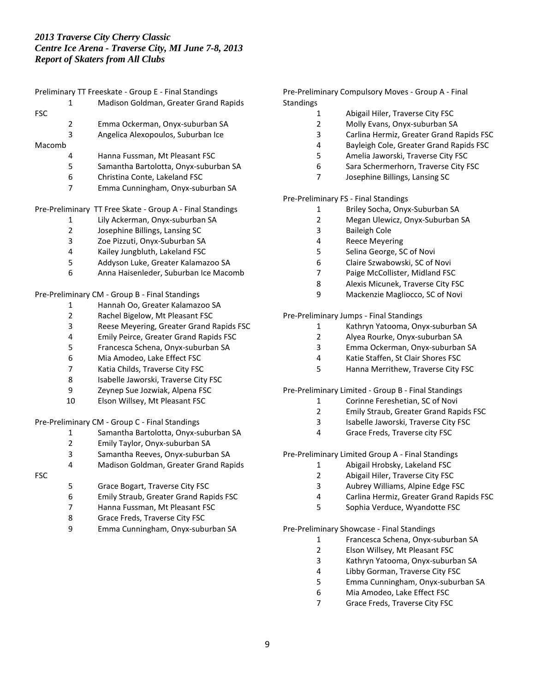|            |                | Preliminary TT Freeskate - Group E - Final Standings      |
|------------|----------------|-----------------------------------------------------------|
|            | 1              | Madison Goldman, Greater Grand Rapids                     |
| <b>FSC</b> |                |                                                           |
|            | 2              | Emma Ockerman, Onyx-suburban SA                           |
|            | 3              | Angelica Alexopoulos, Suburban Ice                        |
| Macomb     |                |                                                           |
|            | 4              | Hanna Fussman, Mt Pleasant FSC                            |
|            | 5              | Samantha Bartolotta, Onyx-suburban SA                     |
|            | 6              | Christina Conte, Lakeland FSC                             |
|            | 7              | Emma Cunningham, Onyx-suburban SA                         |
|            |                | Pre-Preliminary TT Free Skate - Group A - Final Standings |
|            | 1              | Lily Ackerman, Onyx-suburban SA                           |
|            | $\overline{2}$ | Josephine Billings, Lansing SC                            |
|            | 3              | Zoe Pizzuti, Onyx-Suburban SA                             |
|            | 4              | Kailey Jungbluth, Lakeland FSC                            |
|            | 5              | Addyson Luke, Greater Kalamazoo SA                        |
|            | 6              | Anna Haisenleder, Suburban Ice Macomb                     |
|            |                | Pre-Preliminary CM - Group B - Final Standings            |
|            | 1              | Hannah Oo, Greater Kalamazoo SA                           |
|            | 2              | Rachel Bigelow, Mt Pleasant FSC                           |
|            | 3              | Reese Meyering, Greater Grand Rapids FSC                  |
|            | 4              | Emily Peirce, Greater Grand Rapids FSC                    |
|            | 5              | Francesca Schena, Onyx-suburban SA                        |
|            | 6              | Mia Amodeo, Lake Effect FSC                               |
|            | 7              | Katia Childs, Traverse City FSC                           |
|            | 8              | Isabelle Jaworski, Traverse City FSC                      |
|            | 9              | Zeynep Sue Jozwiak, Alpena FSC                            |
|            | 10             | Elson Willsey, Mt Pleasant FSC                            |
|            |                | Pre-Preliminary CM - Group C - Final Standings            |
|            | 1              | Samantha Bartolotta, Onyx-suburban SA                     |
|            | 2              | Emily Taylor, Onyx-suburban SA                            |
|            | 3              | Samantha Reeves, Onyx-suburban SA                         |
|            | 4              | Madison Goldman, Greater Grand Rapids                     |
| <b>FSC</b> |                |                                                           |
|            | 5              | Grace Bogart, Traverse City FSC                           |
|            | 6              | Emily Straub, Greater Grand Rapids FSC                    |
|            | 7              | Hanna Fussman, Mt Pleasant FSC                            |
|            | 8              | Grace Freds, Traverse City FSC                            |
|            | 9              | Emma Cunningham, Onyx-suburban SA                         |
|            |                |                                                           |

Pre-Preliminary Compulsory Moves - Group A - Final **Standings** 

- Abigail Hiler, Traverse City FSC
- Molly Evans, Onyx-suburban SA
- Carlina Hermiz, Greater Grand Rapids FSC
- Bayleigh Cole, Greater Grand Rapids FSC
- Amelia Jaworski, Traverse City FSC
- Sara Schermerhorn, Traverse City FSC
- Josephine Billings, Lansing SC

## Pre-Preliminary FS - Final Standings

- Briley Socha, Onyx-Suburban SA
- Megan Ulewicz, Onyx-Suburban SA
- Baileigh Cole
- Reece Meyering
- Selina George, SC of Novi
- Claire Szwabowski, SC of Novi
- Paige McCollister, Midland FSC
- Alexis Micunek, Traverse City FSC
- Mackenzie Magliocco, SC of Novi

Pre-Preliminary Jumps - Final Standings

- Kathryn Yatooma, Onyx-suburban SA
- Alyea Rourke, Onyx-suburban SA
- Emma Ockerman, Onyx-suburban SA
- Katie Staffen, St Clair Shores FSC
- Hanna Merrithew, Traverse City FSC

## Pre-Preliminary Limited - Group B - Final Standings

- Corinne Fereshetian, SC of Novi
- Emily Straub, Greater Grand Rapids FSC
- Isabelle Jaworski, Traverse City FSC
- Grace Freds, Traverse city FSC

Pre-Preliminary Limited Group A - Final Standings

- Abigail Hrobsky, Lakeland FSC
- Abigail Hiler, Traverse City FSC
- Aubrey Williams, Alpine Edge FSC
- Carlina Hermiz, Greater Grand Rapids FSC
- Sophia Verduce, Wyandotte FSC

Pre-Preliminary Showcase - Final Standings

- Francesca Schena, Onyx-suburban SA
- Elson Willsey, Mt Pleasant FSC
- Kathryn Yatooma, Onyx-suburban SA
- Libby Gorman, Traverse City FSC
- Emma Cunningham, Onyx-suburban SA
- Mia Amodeo, Lake Effect FSC
- Grace Freds, Traverse City FSC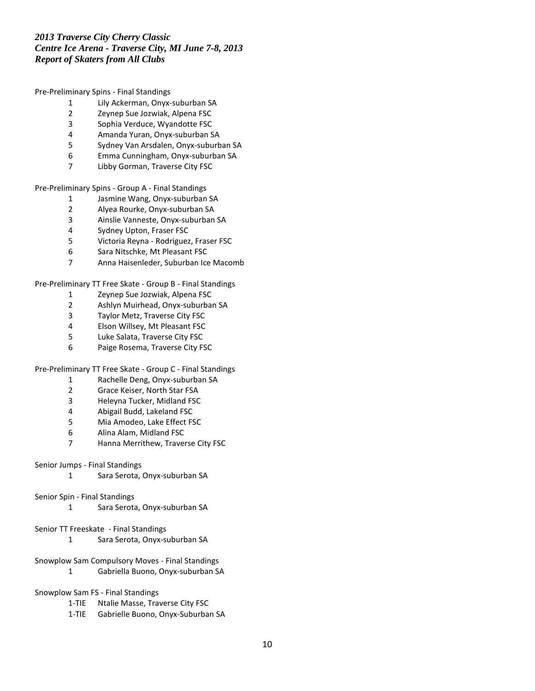### Pre-Preliminary Spins - Final Standings

- Lily Ackerman, Onyx-suburban SA
- Zeynep Sue Jozwiak, Alpena FSC
- 3 Sophia Verduce, Wyandotte FSC<br>4 Amanda Yuran, Onyx-suburban S
- Amanda Yuran, Onyx-suburban SA
- Sydney Van Arsdalen, Onyx-suburban SA
- Emma Cunningham, Onyx-suburban SA
- Libby Gorman, Traverse City FSC

Pre-Preliminary Spins - Group A - Final Standings

- Jasmine Wang, Onyx-suburban SA
- Alyea Rourke, Onyx-suburban SA
- Ainslie Vanneste, Onyx-suburban SA
- Sydney Upton, Fraser FSC
- Victoria Reyna Rodriguez, Fraser FSC
- Sara Nitschke, Mt Pleasant FSC
- Anna Haisenleder, Suburban Ice Macomb

Pre-Preliminary TT Free Skate - Group B - Final Standings

- Zeynep Sue Jozwiak, Alpena FSC
- Ashlyn Muirhead, Onyx-suburban SA
- 3 Taylor Metz, Traverse City FSC<br>4 Elson Willsey, Mt Pleasant FSC
- Elson Willsey, Mt Pleasant FSC
- Luke Salata, Traverse City FSC
- Paige Rosema, Traverse City FSC

Pre-Preliminary TT Free Skate - Group C - Final Standings

- Rachelle Deng, Onyx-suburban SA
- Grace Keiser, North Star FSA
- Heleyna Tucker, Midland FSC
- Abigail Budd, Lakeland FSC
- Mia Amodeo, Lake Effect FSC
- Alina Alam, Midland FSC
- Hanna Merrithew, Traverse City FSC

## Senior Jumps - Final Standings

Sara Serota, Onyx-suburban SA

## Senior Spin - Final Standings

Sara Serota, Onyx-suburban SA

# Senior TT Freeskate - Final Standings

Sara Serota, Onyx-suburban SA

# Snowplow Sam Compulsory Moves - Final Standings

- Gabriella Buono, Onyx-suburban SA
- Snowplow Sam FS Final Standings
	- 1-TIE Ntalie Masse, Traverse City FSC
	- 1-TIE Gabrielle Buono, Onyx-Suburban SA